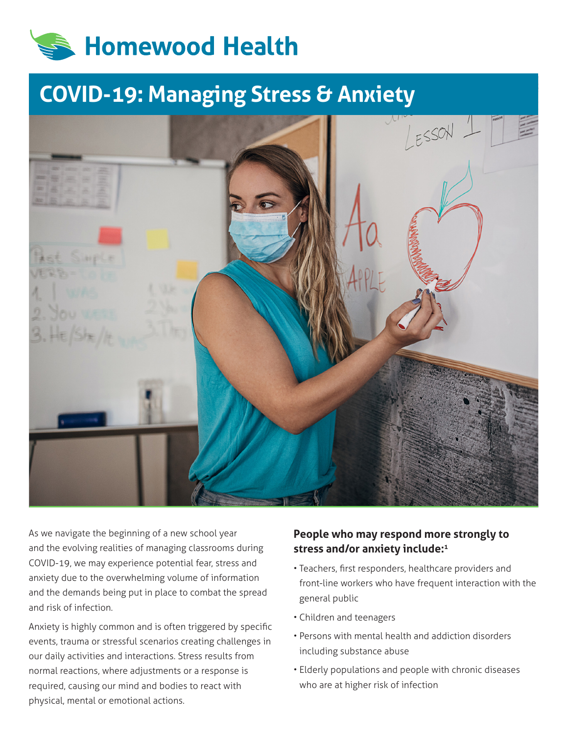# **Homewood Health**

## **COVID-19: Managing Stress & Anxiety**



As we navigate the beginning of a new school year and the evolving realities of managing classrooms during COVID-19, we may experience potential fear, stress and anxiety due to the overwhelming volume of information and the demands being put in place to combat the spread and risk of infection.

Anxiety is highly common and is often triggered by specific events, trauma or stressful scenarios creating challenges in our daily activities and interactions. Stress results from normal reactions, where adjustments or a response is required, causing our mind and bodies to react with physical, mental or emotional actions.

#### **People who may respond more strongly to stress and/or anxiety include:1**

- Teachers, first responders, healthcare providers and front-line workers who have frequent interaction with the general public
- Children and teenagers
- Persons with mental health and addiction disorders including substance abuse
- Elderly populations and people with chronic diseases who are at higher risk of infection